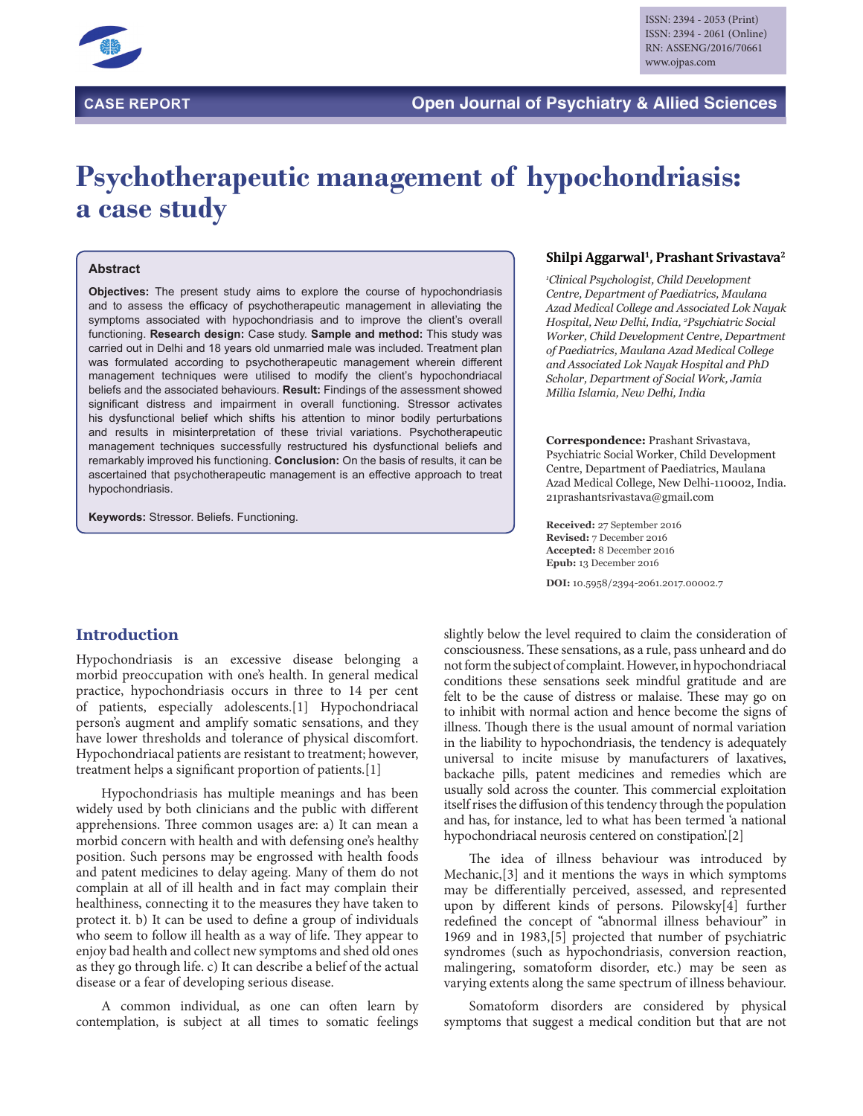

# **Psychotherapeutic management of hypochondriasis: a case study**

#### **Abstract**

**Objectives:** The present study aims to explore the course of hypochondriasis and to assess the efficacy of psychotherapeutic management in alleviating the symptoms associated with hypochondriasis and to improve the client's overall functioning. **Research design:** Case study. **Sample and method:** This study was carried out in Delhi and 18 years old unmarried male was included. Treatment plan was formulated according to psychotherapeutic management wherein different management techniques were utilised to modify the client's hypochondriacal beliefs and the associated behaviours. **Result:** Findings of the assessment showed significant distress and impairment in overall functioning. Stressor activates his dysfunctional belief which shifts his attention to minor bodily perturbations and results in misinterpretation of these trivial variations. Psychotherapeutic management techniques successfully restructured his dysfunctional beliefs and remarkably improved his functioning. **Conclusion:** On the basis of results, it can be ascertained that psychotherapeutic management is an effective approach to treat hypochondriasis.

**Keywords:** Stressor. Beliefs. Functioning.

### **Introduction**

Hypochondriasis is an excessive disease belonging a morbid preoccupation with one's health. In general medical practice, hypochondriasis occurs in three to 14 per cent of patients, especially adolescents.[1] Hypochondriacal person's augment and amplify somatic sensations, and they have lower thresholds and tolerance of physical discomfort. Hypochondriacal patients are resistant to treatment; however, treatment helps a significant proportion of patients.[1]

Hypochondriasis has multiple meanings and has been widely used by both clinicians and the public with different apprehensions. Three common usages are: a) It can mean a morbid concern with health and with defensing one's healthy position. Such persons may be engrossed with health foods and patent medicines to delay ageing. Many of them do not complain at all of ill health and in fact may complain their healthiness, connecting it to the measures they have taken to protect it. b) It can be used to define a group of individuals who seem to follow ill health as a way of life. They appear to enjoy bad health and collect new symptoms and shed old ones as they go through life. c) It can describe a belief of the actual disease or a fear of developing serious disease.

A common individual, as one can often learn by contemplation, is subject at all times to somatic feelings

#### **Shilpi Aggarwal1, Prashant Srivastava2**

*1 Clinical Psychologist, Child Development Centre, Department of Paediatrics, Maulana Azad Medical College and Associated Lok Nayak Hospital, New Delhi, India, 2 Psychiatric Social Worker, Child Development Centre, Department of Paediatrics, Maulana Azad Medical College and Associated Lok Nayak Hospital and PhD Scholar, Department of Social Work, Jamia Millia Islamia, New Delhi, India*

**Correspondence:** Prashant Srivastava, Psychiatric Social Worker, Child Development Centre, Department of Paediatrics, Maulana Azad Medical College, New Delhi-110002, India. 21prashantsrivastava@gmail.com

**Received:** 27 September 2016 **Revised:** 7 December 2016 **Accepted:** 8 December 2016 **Epub:** 13 December 2016

**DOI:** 10.5958/2394-2061.2017.00002.7

slightly below the level required to claim the consideration of consciousness. These sensations, as a rule, pass unheard and do not form the subject of complaint. However, in hypochondriacal conditions these sensations seek mindful gratitude and are felt to be the cause of distress or malaise. These may go on to inhibit with normal action and hence become the signs of illness. Though there is the usual amount of normal variation in the liability to hypochondriasis, the tendency is adequately universal to incite misuse by manufacturers of laxatives, backache pills, patent medicines and remedies which are usually sold across the counter. This commercial exploitation itself rises the diffusion of this tendency through the population and has, for instance, led to what has been termed 'a national hypochondriacal neurosis centered on constipation'.[2]

The idea of illness behaviour was introduced by Mechanic,[3] and it mentions the ways in which symptoms may be differentially perceived, assessed, and represented upon by different kinds of persons. Pilowsky[4] further redefined the concept of "abnormal illness behaviour" in 1969 and in 1983,[5] projected that number of psychiatric syndromes (such as hypochondriasis, conversion reaction, malingering, somatoform disorder, etc.) may be seen as varying extents along the same spectrum of illness behaviour.

Somatoform disorders are considered by physical symptoms that suggest a medical condition but that are not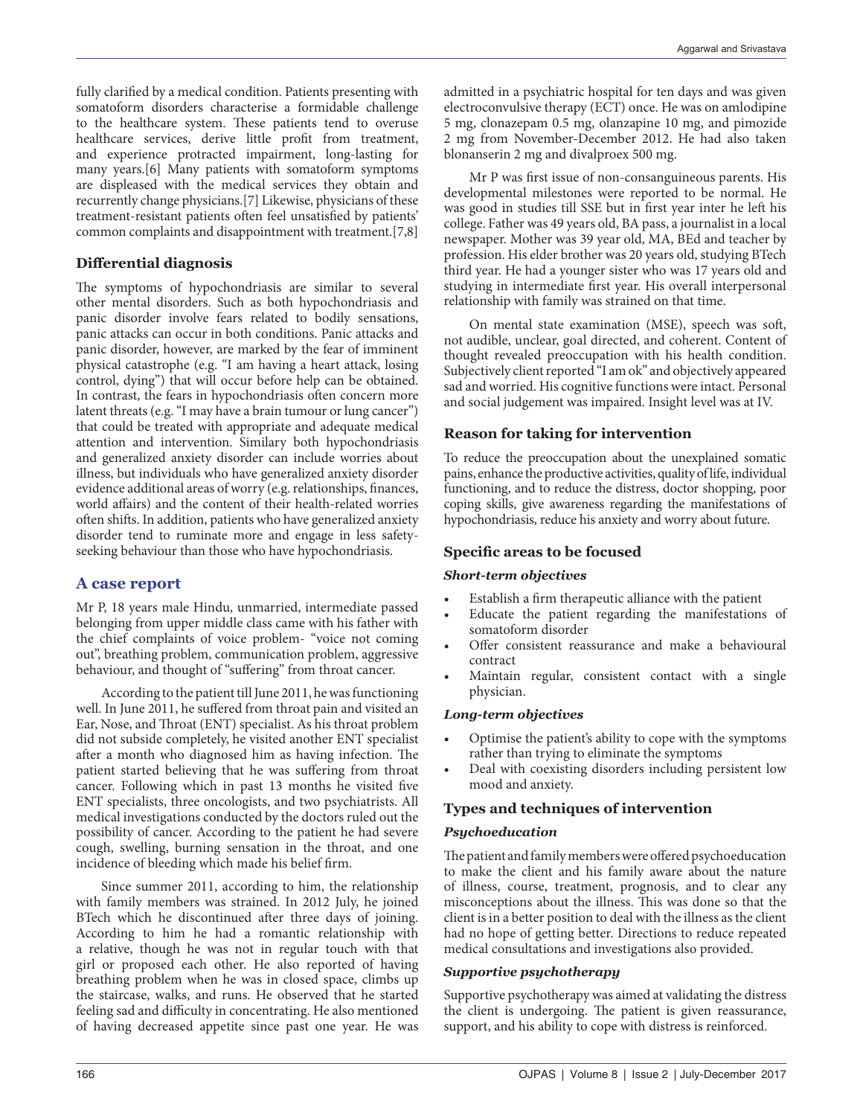fully clarified by a medical condition. Patients presenting with somatoform disorders characterise a formidable challenge to the healthcare system. These patients tend to overuse healthcare services, derive little profit from treatment, and experience protracted impairment, long-lasting for many years.[6] Many patients with somatoform symptoms are displeased with the medical services they obtain and recurrently change physicians.[7] Likewise, physicians of these treatment-resistant patients often feel unsatisfied by patients' common complaints and disappointment with treatment.[7,8]

# **Differential diagnosis**

The symptoms of hypochondriasis are similar to several other mental disorders. Such as both hypochondriasis and panic disorder involve fears related to bodily sensations, panic attacks can occur in both conditions. Panic attacks and panic disorder, however, are marked by the fear of imminent physical catastrophe (e.g. ''I am having a heart attack, losing control, dying'') that will occur before help can be obtained. In contrast, the fears in hypochondriasis often concern more latent threats (e.g. "I may have a brain tumour or lung cancer") that could be treated with appropriate and adequate medical attention and intervention. Similary both hypochondriasis and generalized anxiety disorder can include worries about illness, but individuals who have generalized anxiety disorder evidence additional areas of worry (e.g. relationships, finances, world affairs) and the content of their health-related worries often shifts. In addition, patients who have generalized anxiety disorder tend to ruminate more and engage in less safetyseeking behaviour than those who have hypochondriasis.

### **A case report**

Mr P, 18 years male Hindu, unmarried, intermediate passed belonging from upper middle class came with his father with the chief complaints of voice problem- "voice not coming out", breathing problem, communication problem, aggressive behaviour, and thought of "suffering" from throat cancer.

According to the patient till June 2011, he was functioning well. In June 2011, he suffered from throat pain and visited an Ear, Nose, and Throat (ENT) specialist. As his throat problem did not subside completely, he visited another ENT specialist after a month who diagnosed him as having infection. The patient started believing that he was suffering from throat cancer. Following which in past 13 months he visited five ENT specialists, three oncologists, and two psychiatrists. All medical investigations conducted by the doctors ruled out the possibility of cancer. According to the patient he had severe cough, swelling, burning sensation in the throat, and one incidence of bleeding which made his belief firm.

Since summer 2011, according to him, the relationship with family members was strained. In 2012 July, he joined BTech which he discontinued after three days of joining. According to him he had a romantic relationship with a relative, though he was not in regular touch with that girl or proposed each other. He also reported of having breathing problem when he was in closed space, climbs up the staircase, walks, and runs. He observed that he started feeling sad and difficulty in concentrating. He also mentioned of having decreased appetite since past one year. He was

admitted in a psychiatric hospital for ten days and was given electroconvulsive therapy (ECT) once. He was on amlodipine 5 mg, clonazepam 0.5 mg, olanzapine 10 mg, and pimozide 2 mg from November-December 2012. He had also taken blonanserin 2 mg and divalproex 500 mg.

Mr P was first issue of non-consanguineous parents. His developmental milestones were reported to be normal. He was good in studies till SSE but in first year inter he left his college. Father was 49 years old, BA pass, a journalist in a local newspaper. Mother was 39 year old, MA, BEd and teacher by profession. His elder brother was 20 years old, studying BTech third year. He had a younger sister who was 17 years old and studying in intermediate first year. His overall interpersonal relationship with family was strained on that time.

On mental state examination (MSE), speech was soft, not audible, unclear, goal directed, and coherent. Content of thought revealed preoccupation with his health condition. Subjectively client reported "I am ok" and objectively appeared sad and worried. His cognitive functions were intact. Personal and social judgement was impaired. Insight level was at IV.

# **Reason for taking for intervention**

To reduce the preoccupation about the unexplained somatic pains, enhance the productive activities, quality of life, individual functioning, and to reduce the distress, doctor shopping, poor coping skills, give awareness regarding the manifestations of hypochondriasis, reduce his anxiety and worry about future.

### **Specific areas to be focused**

### *Short-term objectives*

- Establish a firm therapeutic alliance with the patient
- Educate the patient regarding the manifestations of somatoform disorder
- Offer consistent reassurance and make a behavioural contract
- Maintain regular, consistent contact with a single physician.

### *Long-term objectives*

- Optimise the patient's ability to cope with the symptoms rather than trying to eliminate the symptoms
- Deal with coexisting disorders including persistent low mood and anxiety.

### **Types and techniques of intervention**

### *Psychoeducation*

The patient and family members were offered psychoeducation to make the client and his family aware about the nature of illness, course, treatment, prognosis, and to clear any misconceptions about the illness. This was done so that the client is in a better position to deal with the illness as the client had no hope of getting better. Directions to reduce repeated medical consultations and investigations also provided.

### *Supportive psychotherapy*

Supportive psychotherapy was aimed at validating the distress the client is undergoing. The patient is given reassurance, support, and his ability to cope with distress is reinforced.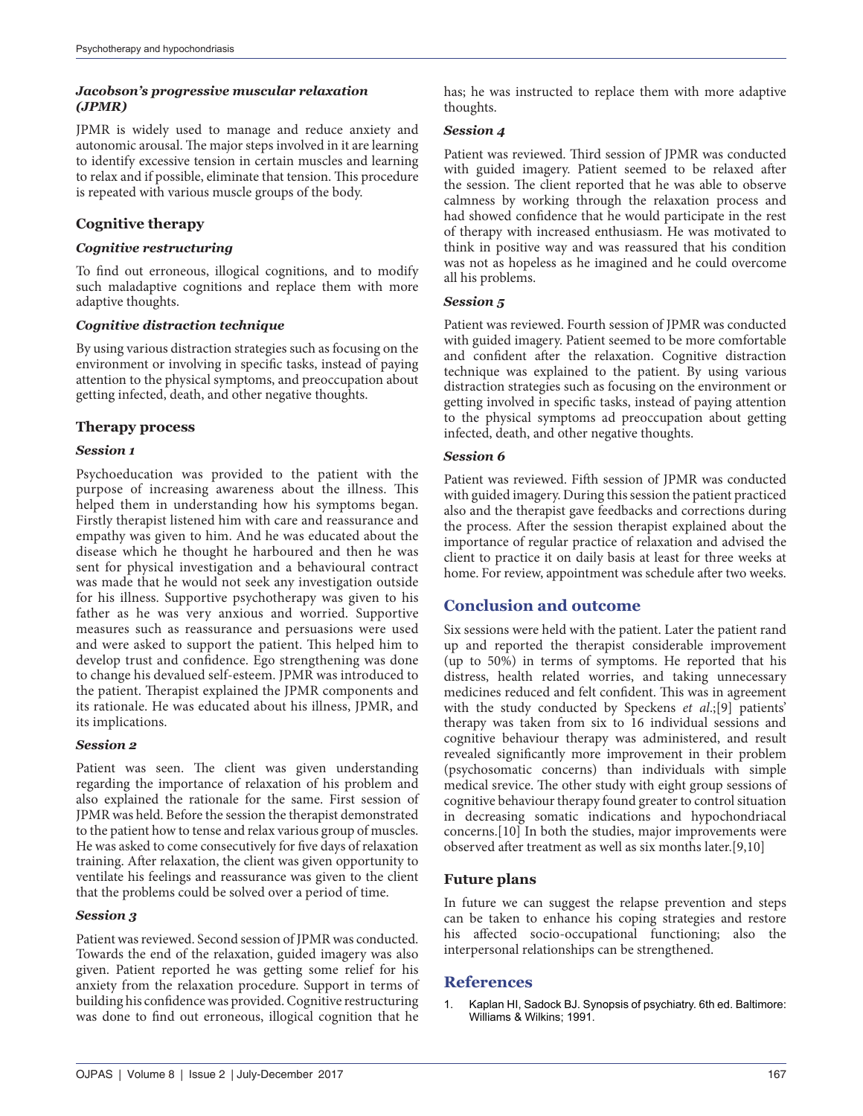### *Jacobson's progressive muscular relaxation (JPMR)*

JPMR is widely used to manage and reduce anxiety and autonomic arousal. The major steps involved in it are learning to identify excessive tension in certain muscles and learning to relax and if possible, eliminate that tension. This procedure is repeated with various muscle groups of the body.

# **Cognitive therapy**

### *Cognitive restructuring*

To find out erroneous, illogical cognitions, and to modify such maladaptive cognitions and replace them with more adaptive thoughts.

### *Cognitive distraction technique*

By using various distraction strategies such as focusing on the environment or involving in specific tasks, instead of paying attention to the physical symptoms, and preoccupation about getting infected, death, and other negative thoughts.

# **Therapy process**

### *Session 1*

Psychoeducation was provided to the patient with the purpose of increasing awareness about the illness. This helped them in understanding how his symptoms began. Firstly therapist listened him with care and reassurance and empathy was given to him. And he was educated about the disease which he thought he harboured and then he was sent for physical investigation and a behavioural contract was made that he would not seek any investigation outside for his illness. Supportive psychotherapy was given to his father as he was very anxious and worried. Supportive measures such as reassurance and persuasions were used and were asked to support the patient. This helped him to develop trust and confidence. Ego strengthening was done to change his devalued self-esteem. JPMR was introduced to the patient. Therapist explained the JPMR components and its rationale. He was educated about his illness, JPMR, and its implications.

### *Session 2*

Patient was seen. The client was given understanding regarding the importance of relaxation of his problem and also explained the rationale for the same. First session of JPMR was held. Before the session the therapist demonstrated to the patient how to tense and relax various group of muscles. He was asked to come consecutively for five days of relaxation training. After relaxation, the client was given opportunity to ventilate his feelings and reassurance was given to the client that the problems could be solved over a period of time.

### *Session 3*

Patient was reviewed. Second session of JPMR was conducted. Towards the end of the relaxation, guided imagery was also given. Patient reported he was getting some relief for his anxiety from the relaxation procedure. Support in terms of building his confidence was provided. Cognitive restructuring was done to find out erroneous, illogical cognition that he

### *Session 4*

Patient was reviewed. Third session of JPMR was conducted with guided imagery. Patient seemed to be relaxed after the session. The client reported that he was able to observe calmness by working through the relaxation process and had showed confidence that he would participate in the rest of therapy with increased enthusiasm. He was motivated to think in positive way and was reassured that his condition was not as hopeless as he imagined and he could overcome all his problems.

### *Session 5*

Patient was reviewed. Fourth session of JPMR was conducted with guided imagery. Patient seemed to be more comfortable and confident after the relaxation. Cognitive distraction technique was explained to the patient. By using various distraction strategies such as focusing on the environment or getting involved in specific tasks, instead of paying attention to the physical symptoms ad preoccupation about getting infected, death, and other negative thoughts.

### *Session 6*

Patient was reviewed. Fifth session of JPMR was conducted with guided imagery. During this session the patient practiced also and the therapist gave feedbacks and corrections during the process. After the session therapist explained about the importance of regular practice of relaxation and advised the client to practice it on daily basis at least for three weeks at home. For review, appointment was schedule after two weeks.

# **Conclusion and outcome**

Six sessions were held with the patient. Later the patient rand up and reported the therapist considerable improvement (up to 50%) in terms of symptoms. He reported that his distress, health related worries, and taking unnecessary medicines reduced and felt confident. This was in agreement with the study conducted by Speckens *et al*.;[9] patients' therapy was taken from six to 16 individual sessions and cognitive behaviour therapy was administered, and result revealed significantly more improvement in their problem (psychosomatic concerns) than individuals with simple medical srevice. The other study with eight group sessions of cognitive behaviour therapy found greater to control situation in decreasing somatic indications and hypochondriacal concerns.[10] In both the studies, major improvements were observed after treatment as well as six months later.[9,10]

# **Future plans**

In future we can suggest the relapse prevention and steps can be taken to enhance his coping strategies and restore his affected socio-occupational functioning; also the interpersonal relationships can be strengthened.

# **References**

Kaplan HI, Sadock BJ. Synopsis of psychiatry. 6th ed. Baltimore: Williams & Wilkins; 1991.